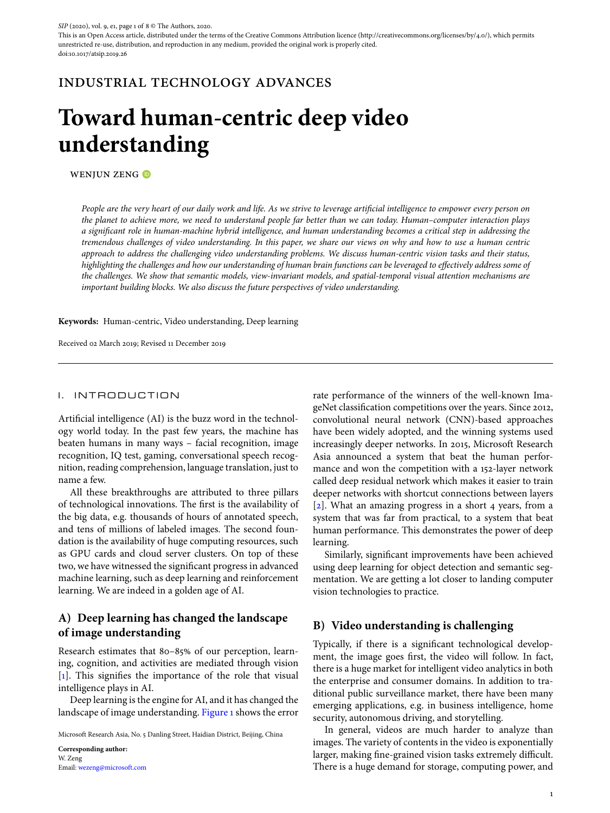This is an Open Access article, distributed under the terms of the Creative Commons Attribution licence (http://creativecommons.org/licenses/by/4.0/), which permits unrestricted re-use, distribution, and reproduction in any medium, provided the original work is properly cited. doi:10.1017/atsip.2019.26

# industrial technology advances

# **Toward human-centric deep video understanding**

WENJUN ZENG<sup>®</sup>

*People are the very heart of our daily work and life. As we strive to leverage artificial intelligence to empower every person on the planet to achieve more, we need to understand people far better than we can today. Human–computer interaction plays a significant role in human-machine hybrid intelligence, and human understanding becomes a critical step in addressing the tremendous challenges of video understanding. In this paper, we share our views on why and how to use a human centric approach to address the challenging video understanding problems. We discuss human-centric vision tasks and their status, highlighting the challenges and how our understanding of human brain functions can be leveraged to effectively address some of the challenges. We show that semantic models, view-invariant models, and spatial-temporal visual attention mechanisms are important building blocks. We also discuss the future perspectives of video understanding.*

**Keywords:** Human-centric, Video understanding, Deep learning

Received 02 March 2019; Revised 11 December 2019

## I. INTRODUCTION

Artificial intelligence (AI) is the buzz word in the technology world today. In the past few years, the machine has beaten humans in many ways – facial recognition, image recognition, IQ test, gaming, conversational speech recognition, reading comprehension, language translation, just to name a few.

All these breakthroughs are attributed to three pillars of technological innovations. The first is the availability of the big data, e.g. thousands of hours of annotated speech, and tens of millions of labeled images. The second foundation is the availability of huge computing resources, such as GPU cards and cloud server clusters. On top of these two, we have witnessed the significant progress in advanced machine learning, such as deep learning and reinforcement learning. We are indeed in a golden age of AI.

# **A) Deep learning has changed the landscape of image understanding**

Research estimates that 80–85% of our perception, learning, cognition, and activities are mediated through vision [\[1\]](#page-5-0). This signifies the importance of the role that visual intelligence plays in AI.

Deep learning is the engine for AI, and it has changed the landscape of image understanding. [Figure 1](#page-1-0) shows the error

Microsoft Research Asia, No. 5 Danling Street, Haidian District, Beijing, China

**Corresponding author:** W. Zeng Email: [wezeng@microsoft.com](mailto:wezeng@microsoft.com)

rate performance of the winners of the well-known ImageNet classification competitions over the years. Since 2012, convolutional neural network (CNN)-based approaches have been widely adopted, and the winning systems used increasingly deeper networks. In 2015, Microsoft Research Asia announced a system that beat the human performance and won the competition with a 152-layer network called deep residual network which makes it easier to train deeper networks with shortcut connections between layers [\[2\]](#page-5-1). What an amazing progress in a short 4 years, from a system that was far from practical, to a system that beat human performance. This demonstrates the power of deep learning.

Similarly, significant improvements have been achieved using deep learning for object detection and semantic segmentation. We are getting a lot closer to landing computer vision technologies to practice.

### **B) Video understanding is challenging**

Typically, if there is a significant technological development, the image goes first, the video will follow. In fact, there is a huge market for intelligent video analytics in both the enterprise and consumer domains. In addition to traditional public surveillance market, there have been many emerging applications, e.g. in business intelligence, home security, autonomous driving, and storytelling.

In general, videos are much harder to analyze than images. The variety of contents in the video is exponentially larger, making fine-grained vision tasks extremely difficult. There is a huge demand for storage, computing power, and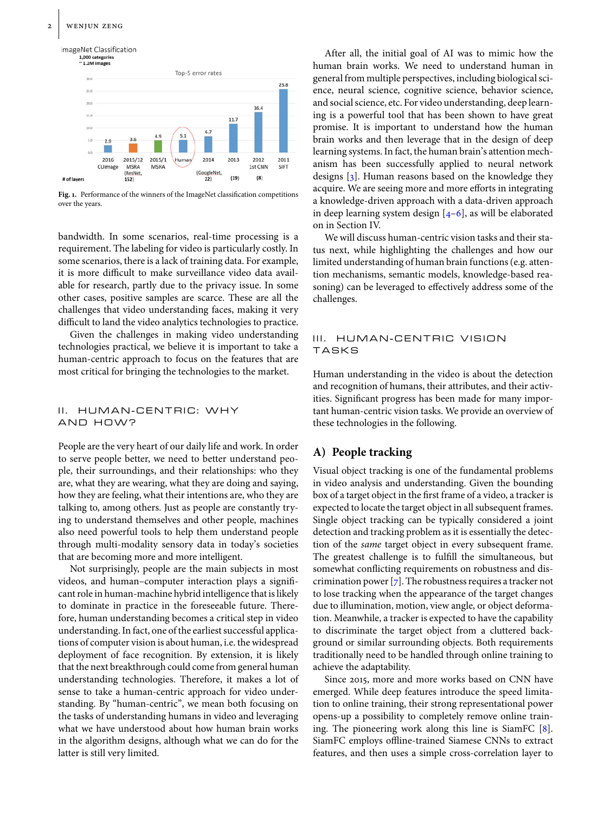

<span id="page-1-0"></span>Fig. 1. Performance of the winners of the ImageNet classification competitions over the years.

bandwidth. In some scenarios, real-time processing is a requirement. The labeling for video is particularly costly. In some scenarios, there is a lack of training data. For example, it is more difficult to make surveillance video data available for research, partly due to the privacy issue. In some other cases, positive samples are scarce. These are all the challenges that video understanding faces, making it very difficult to land the video analytics technologies to practice.

Given the challenges in making video understanding technologies practical, we believe it is important to take a human-centric approach to focus on the features that are most critical for bringing the technologies to the market.

## II. HUMAN-CENTRIC: WHY AND HOW?

People are the very heart of our daily life and work. In order to serve people better, we need to better understand people, their surroundings, and their relationships: who they are, what they are wearing, what they are doing and saying, how they are feeling, what their intentions are, who they are talking to, among others. Just as people are constantly trying to understand themselves and other people, machines also need powerful tools to help them understand people through multi-modality sensory data in today's societies that are becoming more and more intelligent.

Not surprisingly, people are the main subjects in most videos, and human–computer interaction plays a significant role in human-machine hybrid intelligence that is likely to dominate in practice in the foreseeable future. Therefore, human understanding becomes a critical step in video understanding. In fact, one of the earliest successful applications of computer vision is about human, i.e. the widespread deployment of face recognition. By extension, it is likely that the next breakthrough could come from general human understanding technologies. Therefore, it makes a lot of sense to take a human-centric approach for video understanding. By "human-centric", we mean both focusing on the tasks of understanding humans in video and leveraging what we have understood about how human brain works in the algorithm designs, although what we can do for the latter is still very limited.

After all, the initial goal of AI was to mimic how the human brain works. We need to understand human in general from multiple perspectives, including biological science, neural science, cognitive science, behavior science, and social science, etc. For video understanding, deep learning is a powerful tool that has been shown to have great promise. It is important to understand how the human brain works and then leverage that in the design of deep learning systems. In fact, the human brain's attention mechanism has been successfully applied to neural network designs [\[3\]](#page-5-2). Human reasons based on the knowledge they acquire. We are seeing more and more efforts in integrating a knowledge-driven approach with a data-driven approach in deep learning system design  $[4-6]$  $[4-6]$ , as will be elaborated on in Section IV.

We will discuss human-centric vision tasks and their status next, while highlighting the challenges and how our limited understanding of human brain functions (e.g. attention mechanisms, semantic models, knowledge-based reasoning) can be leveraged to effectively address some of the challenges.

## III. HUMAN-CENTRIC VISION TASKS

Human understanding in the video is about the detection and recognition of humans, their attributes, and their activities. Significant progress has been made for many important human-centric vision tasks. We provide an overview of these technologies in the following.

# **A) People tracking**

Visual object tracking is one of the fundamental problems in video analysis and understanding. Given the bounding box of a target object in the first frame of a video, a tracker is expected to locate the target object in all subsequent frames. Single object tracking can be typically considered a joint detection and tracking problem as it is essentially the detection of the *same* target object in every subsequent frame. The greatest challenge is to fulfill the simultaneous, but somewhat conflicting requirements on robustness and discrimination power  $[\bar{z}]$ . The robustness requires a tracker not to lose tracking when the appearance of the target changes due to illumination, motion, view angle, or object deformation. Meanwhile, a tracker is expected to have the capability to discriminate the target object from a cluttered background or similar surrounding objects. Both requirements traditionally need to be handled through online training to achieve the adaptability.

Since 2015, more and more works based on CNN have emerged. While deep features introduce the speed limitation to online training, their strong representational power opens-up a possibility to completely remove online training. The pioneering work along this line is SiamFC [\[8\]](#page-6-2). SiamFC employs offline-trained Siamese CNNs to extract features, and then uses a simple cross-correlation layer to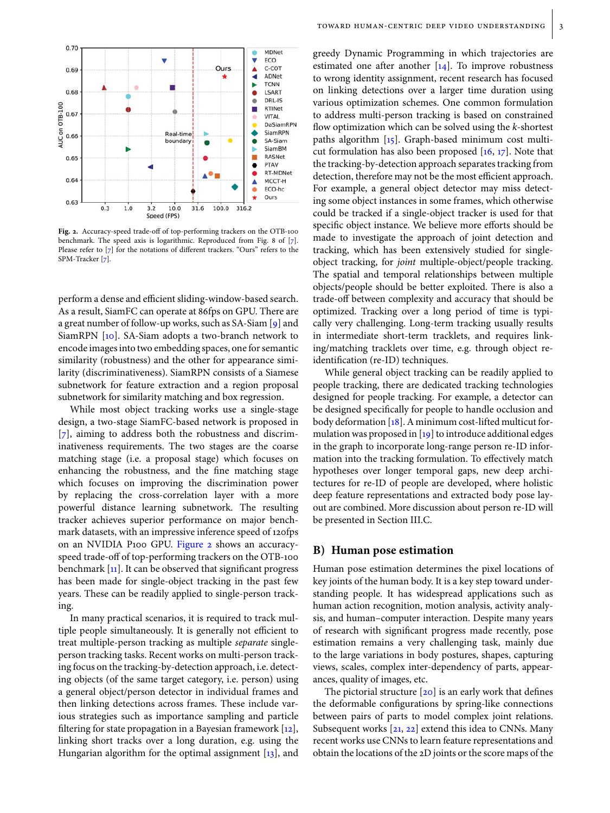

<span id="page-2-0"></span>**Fig. 2.** Accuracy-speed trade-off of top-performing trackers on the OTB-100 benchmark. The speed axis is logarithmic. Reproduced from Fig. 8 of [\[7\]](#page-6-1). Please refer to [\[7\]](#page-6-1) for the notations of different trackers. "Ours" refers to the SPM-Tracker [\[7\]](#page-6-1).

perform a dense and efficient sliding-window-based search. As a result, SiamFC can operate at 86fps on GPU. There are a great number of follow-up works, such as SA-Siam [\[9\]](#page-6-3) and SiamRPN [\[10\]](#page-6-4). SA-Siam adopts a two-branch network to encode images into two embedding spaces, one for semantic similarity (robustness) and the other for appearance similarity (discriminativeness). SiamRPN consists of a Siamese subnetwork for feature extraction and a region proposal subnetwork for similarity matching and box regression.

While most object tracking works use a single-stage design, a two-stage SiamFC-based network is proposed in [\[7\]](#page-6-1), aiming to address both the robustness and discriminativeness requirements. The two stages are the coarse matching stage (i.e. a proposal stage) which focuses on enhancing the robustness, and the fine matching stage which focuses on improving the discrimination power by replacing the cross-correlation layer with a more powerful distance learning subnetwork. The resulting tracker achieves superior performance on major benchmark datasets, with an impressive inference speed of 120fps on an NVIDIA P100 GPU. [Figure 2](#page-2-0) shows an accuracyspeed trade-off of top-performing trackers on the OTB-100 benchmark [\[11\]](#page-6-5). It can be observed that significant progress has been made for single-object tracking in the past few years. These can be readily applied to single-person tracking.

In many practical scenarios, it is required to track multiple people simultaneously. It is generally not efficient to treat multiple-person tracking as multiple *separate* singleperson tracking tasks. Recent works on multi-person tracking focus on the tracking-by-detection approach, i.e. detecting objects (of the same target category, i.e. person) using a general object/person detector in individual frames and then linking detections across frames. These include various strategies such as importance sampling and particle filtering for state propagation in a Bayesian framework  $[12]$ , linking short tracks over a long duration, e.g. using the Hungarian algorithm for the optimal assignment  $[13]$ , and greedy Dynamic Programming in which trajectories are estimated one after another  $[14]$ . To improve robustness to wrong identity assignment, recent research has focused on linking detections over a larger time duration using various optimization schemes. One common formulation to address multi-person tracking is based on constrained flow optimization which can be solved using the *k*-shortest paths algorithm [\[15\]](#page-6-9). Graph-based minimum cost multicut formulation has also been proposed  $[16, 17]$  $[16, 17]$  $[16, 17]$ . Note that the tracking-by-detection approach separates tracking from detection, therefore may not be the most efficient approach. For example, a general object detector may miss detecting some object instances in some frames, which otherwise could be tracked if a single-object tracker is used for that specific object instance. We believe more efforts should be made to investigate the approach of joint detection and tracking, which has been extensively studied for singleobject tracking, for *joint* multiple-object/people tracking. The spatial and temporal relationships between multiple objects/people should be better exploited. There is also a trade-off between complexity and accuracy that should be optimized. Tracking over a long period of time is typically very challenging. Long-term tracking usually results in intermediate short-term tracklets, and requires linking/matching tracklets over time, e.g. through object reidentification (re-ID) techniques.

While general object tracking can be readily applied to people tracking, there are dedicated tracking technologies designed for people tracking. For example, a detector can be designed specifically for people to handle occlusion and body deformation [\[18\]](#page-6-12). A minimum cost-lifted multicut formulation was proposed in  $[19]$  to introduce additional edges in the graph to incorporate long-range person re-ID information into the tracking formulation. To effectively match hypotheses over longer temporal gaps, new deep architectures for re-ID of people are developed, where holistic deep feature representations and extracted body pose layout are combined. More discussion about person re-ID will be presented in Section III.C.

### **B) Human pose estimation**

Human pose estimation determines the pixel locations of key joints of the human body. It is a key step toward understanding people. It has widespread applications such as human action recognition, motion analysis, activity analysis, and human–computer interaction. Despite many years of research with significant progress made recently, pose estimation remains a very challenging task, mainly due to the large variations in body postures, shapes, capturing views, scales, complex inter-dependency of parts, appearances, quality of images, etc.

The pictorial structure  $[20]$  is an early work that defines the deformable configurations by spring-like connections between pairs of parts to model complex joint relations. Subsequent works  $[21, 22]$  $[21, 22]$  $[21, 22]$  extend this idea to CNNs. Many recent works use CNNs to learn feature representations and obtain the locations of the 2D joints or the score maps of the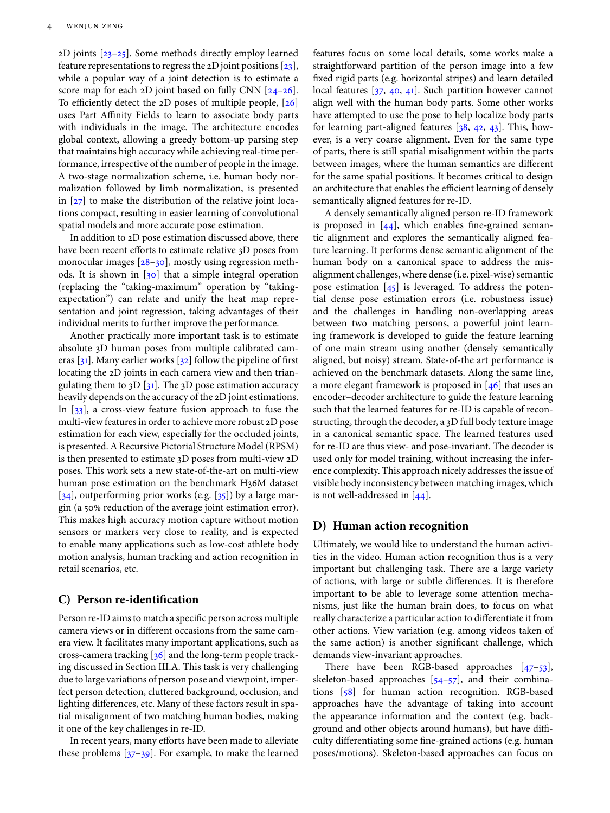$2D$  joints  $[23-25]$  $[23-25]$ . Some methods directly employ learned feature representations to regress the 2D joint positions [\[23\]](#page-6-17), while a popular way of a joint detection is to estimate a score map for each 2D joint based on fully CNN [\[24](#page-6-19)[–26\]](#page-6-20). To efficiently detect the 2D poses of multiple people, [\[26\]](#page-6-20) uses Part Affinity Fields to learn to associate body parts with individuals in the image. The architecture encodes global context, allowing a greedy bottom-up parsing step that maintains high accuracy while achieving real-time performance, irrespective of the number of people in the image. A two-stage normalization scheme, i.e. human body normalization followed by limb normalization, is presented in  $[27]$  to make the distribution of the relative joint locations compact, resulting in easier learning of convolutional spatial models and more accurate pose estimation.

In addition to 2D pose estimation discussed above, there have been recent efforts to estimate relative 3D poses from monocular images [\[28](#page-6-22)-30], mostly using regression methods. It is shown in  $\begin{bmatrix} 30 \end{bmatrix}$  that a simple integral operation (replacing the "taking-maximum" operation by "takingexpectation") can relate and unify the heat map representation and joint regression, taking advantages of their individual merits to further improve the performance.

Another practically more important task is to estimate absolute 3D human poses from multiple calibrated cameras  $[31]$ . Many earlier works  $[32]$  follow the pipeline of first locating the 2D joints in each camera view and then triangulating them to  $3D$  [ $31$ ]. The  $3D$  pose estimation accuracy heavily depends on the accuracy of the 2D joint estimations. In [\[33\]](#page-6-26), a cross-view feature fusion approach to fuse the multi-view features in order to achieve more robust 2D pose estimation for each view, especially for the occluded joints, is presented. A Recursive Pictorial Structure Model (RPSM) is then presented to estimate 3D poses from multi-view 2D poses. This work sets a new state-of-the-art on multi-view human pose estimation on the benchmark H36M dataset [\[34\]](#page-6-27), outperforming prior works (e.g.  $[35]$ ) by a large margin (a 50 reduction of the average joint estimation error). This makes high accuracy motion capture without motion sensors or markers very close to reality, and is expected to enable many applications such as low-cost athlete body motion analysis, human tracking and action recognition in retail scenarios, etc.

## **C) Person re-identification**

Person re-ID aims to match a specific person across multiple camera views or in different occasions from the same camera view. It facilitates many important applications, such as cross-camera tracking [\[36\]](#page-6-29) and the long-term people tracking discussed in Section III.A. This task is very challenging due to large variations of person pose and viewpoint, imperfect person detection, cluttered background, occlusion, and lighting differences, etc. Many of these factors result in spatial misalignment of two matching human bodies, making it one of the key challenges in re-ID.

In recent years, many efforts have been made to alleviate these problems [\[37](#page-6-30)[–39\]](#page-6-31). For example, to make the learned features focus on some local details, some works make a straightforward partition of the person image into a few fixed rigid parts (e.g. horizontal stripes) and learn detailed local features [\[37,](#page-6-30) [40,](#page-6-32) [41\]](#page-6-33). Such partition however cannot align well with the human body parts. Some other works have attempted to use the pose to help localize body parts for learning part-aligned features  $[38, 42, 43]$  $[38, 42, 43]$  $[38, 42, 43]$  $[38, 42, 43]$  $[38, 42, 43]$ . This, however, is a very coarse alignment. Even for the same type of parts, there is still spatial misalignment within the parts between images, where the human semantics are different for the same spatial positions. It becomes critical to design an architecture that enables the efficient learning of densely semantically aligned features for re-ID.

A densely semantically aligned person re-ID framework is proposed in  $[44]$ , which enables fine-grained semantic alignment and explores the semantically aligned feature learning. It performs dense semantic alignment of the human body on a canonical space to address the misalignment challenges, where dense (i.e. pixel-wise) semantic pose estimation  $[45]$  is leveraged. To address the potential dense pose estimation errors (i.e. robustness issue) and the challenges in handling non-overlapping areas between two matching persons, a powerful joint learning framework is developed to guide the feature learning of one main stream using another (densely semantically aligned, but noisy) stream. State-of-the art performance is achieved on the benchmark datasets. Along the same line, a more elegant framework is proposed in [\[46\]](#page-7-2) that uses an encoder–decoder architecture to guide the feature learning such that the learned features for re-ID is capable of reconstructing, through the decoder, a 3D full body texture image in a canonical semantic space. The learned features used for re-ID are thus view- and pose-invariant. The decoder is used only for model training, without increasing the inference complexity. This approach nicely addresses the issue of visible body inconsistency between matching images, which is not well-addressed in [\[44\]](#page-7-0).

## **D) Human action recognition**

Ultimately, we would like to understand the human activities in the video. Human action recognition thus is a very important but challenging task. There are a large variety of actions, with large or subtle differences. It is therefore important to be able to leverage some attention mechanisms, just like the human brain does, to focus on what really characterize a particular action to differentiate it from other actions. View variation (e.g. among videos taken of the same action) is another significant challenge, which demands view-invariant approaches.

There have been RGB-based approaches [\[47–](#page-7-3)[53\]](#page-7-4), skeleton-based approaches [\[54–](#page-7-5)[57\]](#page-7-6), and their combinations [\[58\]](#page-7-7) for human action recognition. RGB-based approaches have the advantage of taking into account the appearance information and the context (e.g. background and other objects around humans), but have difficulty differentiating some fine-grained actions (e.g. human poses/motions). Skeleton-based approaches can focus on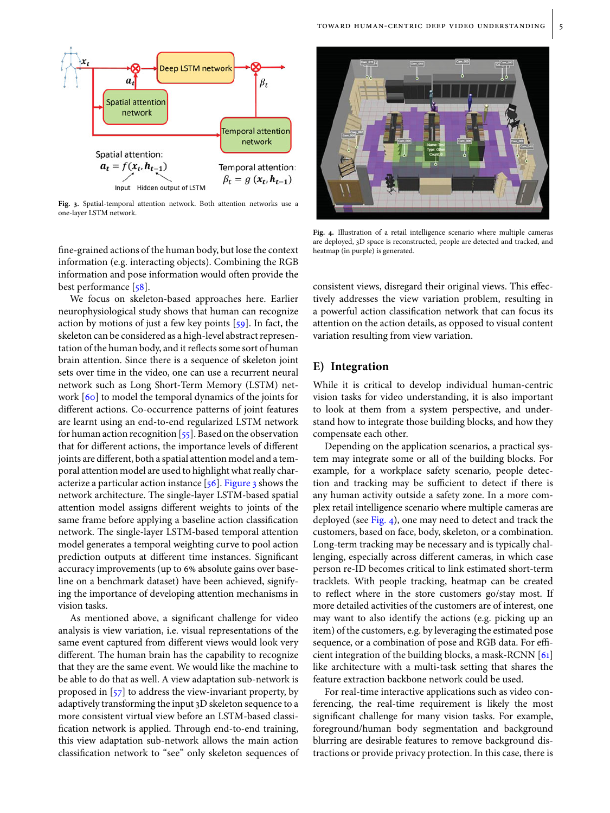

<span id="page-4-0"></span>**Fig. 3.** Spatial-temporal attention network. Both attention networks use a one-layer LSTM network.

fine-grained actions of the human body, but lose the context information (e.g. interacting objects). Combining the RGB information and pose information would often provide the best performance [\[58\]](#page-7-7).

We focus on skeleton-based approaches here. Earlier neurophysiological study shows that human can recognize action by motions of just a few key points [\[59\]](#page-7-8). In fact, the skeleton can be considered as a high-level abstract representation of the human body, and it reflects some sort of human brain attention. Since there is a sequence of skeleton joint sets over time in the video, one can use a recurrent neural network such as Long Short-Term Memory (LSTM) network [\[60\]](#page-7-9) to model the temporal dynamics of the joints for different actions. Co-occurrence patterns of joint features are learnt using an end-to-end regularized LSTM network for human action recognition  $[55]$ . Based on the observation that for different actions, the importance levels of different joints are different, both a spatial attention model and a temporal attention model are used to highlight what really characterize a particular action instance [\[56\]](#page-7-11). [Figure 3](#page-4-0) shows the network architecture. The single-layer LSTM-based spatial attention model assigns different weights to joints of the same frame before applying a baseline action classification network. The single-layer LSTM-based temporal attention model generates a temporal weighting curve to pool action prediction outputs at different time instances. Significant accuracy improvements (up to 6% absolute gains over baseline on a benchmark dataset) have been achieved, signifying the importance of developing attention mechanisms in vision tasks.

As mentioned above, a significant challenge for video analysis is view variation, i.e. visual representations of the same event captured from different views would look very different. The human brain has the capability to recognize that they are the same event. We would like the machine to be able to do that as well. A view adaptation sub-network is proposed in [\[57\]](#page-7-6) to address the view-invariant property, by adaptively transforming the input 3D skeleton sequence to a more consistent virtual view before an LSTM-based classification network is applied. Through end-to-end training, this view adaptation sub-network allows the main action classification network to "see" only skeleton sequences of



<span id="page-4-1"></span>**Fig. 4.** Illustration of a retail intelligence scenario where multiple cameras are deployed, 3D space is reconstructed, people are detected and tracked, and heatmap (in purple) is generated.

consistent views, disregard their original views. This effectively addresses the view variation problem, resulting in a powerful action classification network that can focus its attention on the action details, as opposed to visual content variation resulting from view variation.

# **E) Integration**

While it is critical to develop individual human-centric vision tasks for video understanding, it is also important to look at them from a system perspective, and understand how to integrate those building blocks, and how they compensate each other.

Depending on the application scenarios, a practical system may integrate some or all of the building blocks. For example, for a workplace safety scenario, people detection and tracking may be sufficient to detect if there is any human activity outside a safety zone. In a more complex retail intelligence scenario where multiple cameras are deployed (see [Fig. 4\)](#page-4-1), one may need to detect and track the customers, based on face, body, skeleton, or a combination. Long-term tracking may be necessary and is typically challenging, especially across different cameras, in which case person re-ID becomes critical to link estimated short-term tracklets. With people tracking, heatmap can be created to reflect where in the store customers go/stay most. If more detailed activities of the customers are of interest, one may want to also identify the actions (e.g. picking up an item) of the customers, e.g. by leveraging the estimated pose sequence, or a combination of pose and RGB data. For efficient integration of the building blocks, a mask-RCNN [\[61\]](#page-7-12) like architecture with a multi-task setting that shares the feature extraction backbone network could be used.

For real-time interactive applications such as video conferencing, the real-time requirement is likely the most significant challenge for many vision tasks. For example, foreground/human body segmentation and background blurring are desirable features to remove background distractions or provide privacy protection. In this case, there is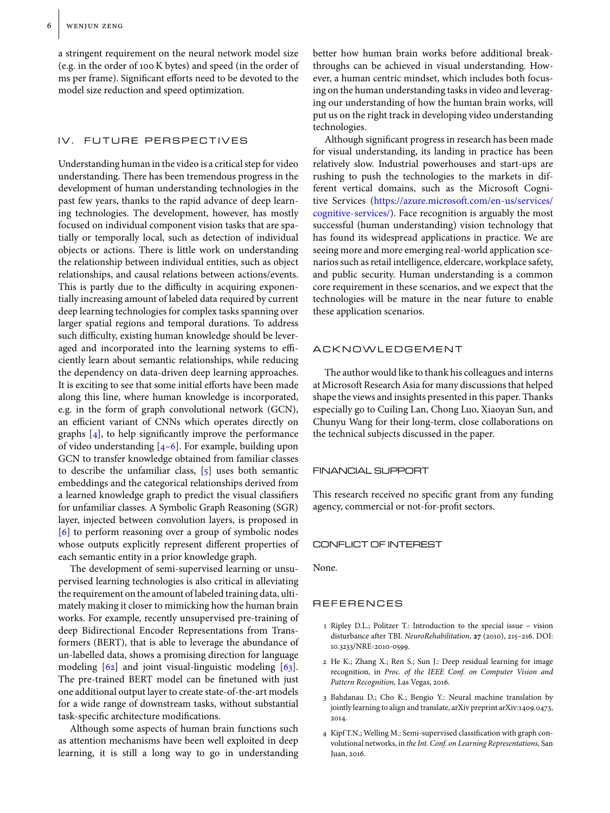a stringent requirement on the neural network model size (e.g. in the order of 100 K bytes) and speed (in the order of ms per frame). Significant efforts need to be devoted to the model size reduction and speed optimization.

## IV. FUTURE PERSPECTIVES

Understanding human in the video is a critical step for video understanding. There has been tremendous progress in the development of human understanding technologies in the past few years, thanks to the rapid advance of deep learning technologies. The development, however, has mostly focused on individual component vision tasks that are spatially or temporally local, such as detection of individual objects or actions. There is little work on understanding the relationship between individual entities, such as object relationships, and causal relations between actions/events. This is partly due to the difficulty in acquiring exponentially increasing amount of labeled data required by current deep learning technologies for complex tasks spanning over larger spatial regions and temporal durations. To address such difficulty, existing human knowledge should be leveraged and incorporated into the learning systems to efficiently learn about semantic relationships, while reducing the dependency on data-driven deep learning approaches. It is exciting to see that some initial efforts have been made along this line, where human knowledge is incorporated, e.g. in the form of graph convolutional network (GCN), an efficient variant of CNNs which operates directly on graphs [\[4\]](#page-5-3), to help significantly improve the performance of video understanding  $[4-6]$  $[4-6]$ . For example, building upon GCN to transfer knowledge obtained from familiar classes to describe the unfamiliar class, [\[5\]](#page-6-37) uses both semantic embeddings and the categorical relationships derived from a learned knowledge graph to predict the visual classifiers for unfamiliar classes. A Symbolic Graph Reasoning (SGR) layer, injected between convolution layers, is proposed in [\[6\]](#page-6-0) to perform reasoning over a group of symbolic nodes whose outputs explicitly represent different properties of each semantic entity in a prior knowledge graph.

The development of semi-supervised learning or unsupervised learning technologies is also critical in alleviating the requirement on the amount of labeled training data, ultimately making it closer to mimicking how the human brain works. For example, recently unsupervised pre-training of deep Bidirectional Encoder Representations from Transformers (BERT), that is able to leverage the abundance of un-labelled data, shows a promising direction for language modeling [\[62\]](#page-7-13) and joint visual-linguistic modeling [\[63\]](#page-7-14). The pre-trained BERT model can be finetuned with just one additional output layer to create state-of-the-art models for a wide range of downstream tasks, without substantial task-specific architecture modifications.

Although some aspects of human brain functions such as attention mechanisms have been well exploited in deep learning, it is still a long way to go in understanding better how human brain works before additional breakthroughs can be achieved in visual understanding. However, a human centric mindset, which includes both focusing on the human understanding tasks in video and leveraging our understanding of how the human brain works, will put us on the right track in developing video understanding technologies.

Although significant progress in research has been made for visual understanding, its landing in practice has been relatively slow. Industrial powerhouses and start-ups are rushing to push the technologies to the markets in different vertical domains, such as the Microsoft Cognitive Services [\(https://azure.microsoft.com/en-us/services/](https://azure.microsoft.com/en-us/services/cognitive-services/) [cognitive-services/\)](https://azure.microsoft.com/en-us/services/cognitive-services/). Face recognition is arguably the most successful (human understanding) vision technology that has found its widespread applications in practice. We are seeing more and more emerging real-world application scenarios such as retail intelligence, eldercare, workplace safety, and public security. Human understanding is a common core requirement in these scenarios, and we expect that the technologies will be mature in the near future to enable these application scenarios.

## ACKNOWLEDGEMENT

The author would like to thank his colleagues and interns at Microsoft Research Asia for many discussions that helped shape the views and insights presented in this paper. Thanks especially go to Cuiling Lan, Chong Luo, Xiaoyan Sun, and Chunyu Wang for their long-term, close collaborations on the technical subjects discussed in the paper.

### FINANCIAL SUPPORT

This research received no specific grant from any funding agency, commercial or not-for-profit sectors.

#### CONFLICT OF INTEREST

None.

## REFERENCES

- <span id="page-5-0"></span>1 Ripley D.L.; Politzer T.: Introduction to the special issue – vision disturbance after TBI. *NeuroRehabilitation*, **27** (2010), 215–216. DOI: 10.3233/NRE-2010-0599.
- <span id="page-5-1"></span>2 He K.; Zhang X.; Ren S.; Sun J.: Deep residual learning for image recognition, in *Proc. of the IEEE Conf. on Computer Vision and Pattern Recognition,* Las Vegas, 2016.
- <span id="page-5-2"></span>3 Bahdanau D.; Cho K.; Bengio Y.: Neural machine translation by jointly learning to align and translate, arXiv preprint arXiv:1409.0473, 2014.
- <span id="page-5-3"></span>4 Kipf T.N.; Welling M.: Semi-supervised classification with graph convolutional networks, in *the Int. Conf. on Learning Representations,* San Juan, 2016.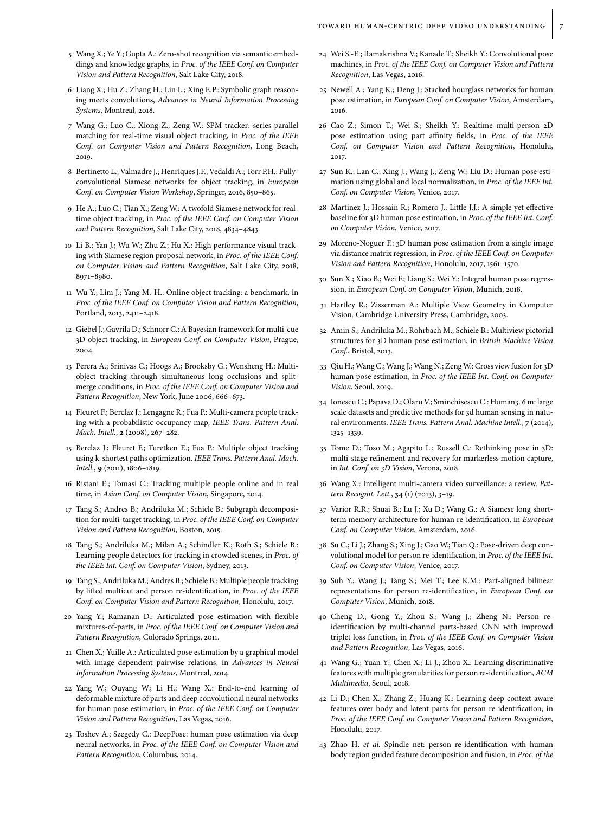- <span id="page-6-37"></span>5Wang X.; Ye Y.; Gupta A.: Zero-shot recognition via semantic embeddings and knowledge graphs, in *Proc. of the IEEE Conf. on Computer Vision and Pattern Recognition*, Salt Lake City, 2018.
- <span id="page-6-0"></span>6 Liang X.; Hu Z.; Zhang H.; Lin L.; Xing E.P.: Symbolic graph reasoning meets convolutions, *Advances in Neural Information Processing Systems*, Montreal, 2018.
- <span id="page-6-1"></span>7 Wang G.; Luo C.; Xiong Z.; Zeng W.: SPM-tracker: series-parallel matching for real-time visual object tracking, in *Proc. of the IEEE Conf. on Computer Vision and Pattern Recognition*, Long Beach, 2019.
- <span id="page-6-2"></span>8 Bertinetto L.; Valmadre J.; Henriques J.F.; Vedaldi A.; Torr P.H.: Fullyconvolutional Siamese networks for object tracking, in *European Conf. on Computer Vision Workshop*, Springer, 2016, 850–865.
- <span id="page-6-3"></span>9 He A.; Luo C.; Tian X.; Zeng W.: A twofold Siamese network for realtime object tracking, in *Proc. of the IEEE Conf. on Computer Vision and Pattern Recognition*, Salt Lake City, 2018, 4834–4843.
- <span id="page-6-4"></span>10 Li B.; Yan J.; Wu W.; Zhu Z.; Hu X.: High performance visual tracking with Siamese region proposal network, in *Proc. of the IEEE Conf. on Computer Vision and Pattern Recognition*, Salt Lake City, 2018, 8971–8980.
- <span id="page-6-5"></span>11 Wu Y.; Lim J.; Yang M.-H.: Online object tracking: a benchmark, in *Proc. of the IEEE Conf. on Computer Vision and Pattern Recognition*, Portland, 2013, 2411–2418.
- <span id="page-6-6"></span>12 Giebel J.; Gavrila D.; Schnorr C.: A Bayesian framework for multi-cue 3D object tracking, in *European Conf. on Computer Vision*, Prague, 2004.
- <span id="page-6-7"></span>13 Perera A.; Srinivas C.; Hoogs A.; Brooksby G.; Wensheng H.: Multiobject tracking through simultaneous long occlusions and splitmerge conditions, in *Proc. of the IEEE Conf. on Computer Vision and Pattern Recognition*, New York, June 2006, 666–673.
- <span id="page-6-8"></span>14 Fleuret F.; Berclaz J.; Lengagne R.; Fua P.: Multi-camera people tracking with a probabilistic occupancy map, *IEEE Trans. Pattern Anal. Mach. Intell.*, **2** (2008), 267–282.
- <span id="page-6-9"></span>15Berclaz J.; Fleuret F.; Turetken E.; Fua P.: Multiple object tracking using k-shortest paths optimization. *IEEE Trans. Pattern Anal. Mach. Intell.*, **9** (2011), 1806–1819.
- <span id="page-6-10"></span>16 Ristani E.; Tomasi C.: Tracking multiple people online and in real time, in *Asian Conf. on Computer Vision*, Singapore, 2014.
- <span id="page-6-11"></span>17 Tang S.; Andres B.; Andriluka M.; Schiele B.: Subgraph decomposition for multi-target tracking, in *Proc. of the IEEE Conf. on Computer Vision and Pattern Recognition*, Boston, 2015 .
- <span id="page-6-12"></span>18 Tang S.; Andriluka M.; Milan A.; Schindler K.; Roth S.; Schiele B.: Learning people detectors for tracking in crowded scenes, in *Proc. of the IEEE Int. Conf. on Computer Vision*, Sydney, 2013.
- <span id="page-6-13"></span>19 Tang S.; Andriluka M.; Andres B.; Schiele B.: Multiple people tracking by lifted multicut and person re-identification, in *Proc. of the IEEE Conf. on Computer Vision and Pattern Recognition*, Honolulu, 2017.
- <span id="page-6-14"></span>20 Yang Y.; Ramanan D.: Articulated pose estimation with flexible mixtures-of-parts, in *Proc. of the IEEE Conf. on Computer Vision and Pattern Recognition*, Colorado Springs, 2011.
- <span id="page-6-15"></span>21 Chen X.; Yuille A.: Articulated pose estimation by a graphical model with image dependent pairwise relations, in *Advances in Neural Information Processing Systems*, Montreal, 2014.
- <span id="page-6-16"></span>22 Yang W.; Ouyang W.; Li H.; Wang X.: End-to-end learning of deformable mixture of parts and deep convolutional neural networks for human pose estimation, in *Proc. of the IEEE Conf. on Computer Vision and Pattern Recognition*, Las Vegas, 2016.
- <span id="page-6-17"></span>23 Toshev A.; Szegedy C.: DeepPose: human pose estimation via deep neural networks, in *Proc. of the IEEE Conf. on Computer Vision and Pattern Recognition*, Columbus, 2014.
- <span id="page-6-19"></span>24 Wei S.-E.; Ramakrishna V.; Kanade T.; Sheikh Y.: Convolutional pose machines, in *Proc. of the IEEE Conf. on Computer Vision and Pattern Recognition*, Las Vegas, 2016.
- <span id="page-6-18"></span>25Newell A.; Yang K.; Deng J.: Stacked hourglass networks for human pose estimation, in *European Conf. on Computer Vision*, Amsterdam, 2016.
- <span id="page-6-20"></span>26 Cao Z.; Simon T.; Wei S.; Sheikh Y.: Realtime multi-person 2D pose estimation using part affinity fields, in *Proc. of the IEEE Conf. on Computer Vision and Pattern Recognition*, Honolulu, 2017.
- <span id="page-6-21"></span>27 Sun K.; Lan C.; Xing J.; Wang J.; Zeng W.; Liu D.: Human pose estimation using global and local normalization, in *Proc. of the IEEE Int. Conf. on Computer Vision*, Venice, 2017.
- <span id="page-6-22"></span>28 Martinez J.; Hossain R.; Romero J.; Little J.J.: A simple yet effective baseline for 3D human pose estimation, in *Proc. of the IEEE Int. Conf. on Computer Vision*, Venice, 2017.
- 29 Moreno-Noguer F.: 3D human pose estimation from a single image via distance matrix regression, in *Proc. of the IEEE Conf. on Computer* Vision and Pattern Recognition, Honolulu, 2017, 1561-1570.
- <span id="page-6-23"></span>30 Sun X.; Xiao B.; Wei F.; Liang S.; Wei Y.: Integral human pose regression, in *European Conf. on Computer Vision*, Munich, 2018.
- <span id="page-6-24"></span>31 Hartley R.; Zisserman A.: Multiple View Geometry in Computer Vision. Cambridge University Press, Cambridge, 2003.
- <span id="page-6-25"></span>32 Amin S.; Andriluka M.; Rohrbach M.; Schiele B.: Multiview pictorial structures for 3D human pose estimation, in *British Machine Vision Conf.*, Bristol, 2013.
- <span id="page-6-26"></span>33 Qiu H.;Wang C.;Wang J.;Wang N.; ZengW.: Cross view fusion for 3D human pose estimation, in *Proc. of the IEEE Int. Conf. on Computer Vision*, Seoul, 2019.
- <span id="page-6-27"></span>34 Ionescu C.; Papava D.; Olaru V.; Sminchisescu C.: Human3. 6 m: large scale datasets and predictive methods for 3d human sensing in natural environments. *IEEE Trans. Pattern Anal. Machine Intell.*, **7** (2014), 1325–1339.
- <span id="page-6-28"></span>35Tome D.; Toso M.; Agapito L.; Russell C.: Rethinking pose in 3D: multi-stage refinement and recovery for markerless motion capture, in *Int. Conf. on 3D Vision*, Verona, 2018.
- <span id="page-6-29"></span>36 Wang X.: Intelligent multi-camera video surveillance: a review. *Pattern Recognit. Lett.*, **34** (1) (2013), 3–19.
- <span id="page-6-30"></span>37 Varior R.R.; Shuai B.; Lu J.; Xu D.; Wang G.: A Siamese long shortterm memory architecture for human re-identification, in *European Conf. on Computer Vision*, Amsterdam, 2016.
- <span id="page-6-34"></span>38 Su C.; Li J.; Zhang S.; Xing J.; Gao W.; Tian Q.: Pose-driven deep convolutional model for person re-identification, in *Proc. of the IEEE Int. Conf. on Computer Vision*, Venice, 2017.
- <span id="page-6-31"></span>39 Suh Y.; Wang J.; Tang S.; Mei T.; Lee K.M.: Part-aligned bilinear representations for person re-identification, in *European Conf. on Computer Vision*, Munich, 2018.
- <span id="page-6-32"></span>40 Cheng D.; Gong Y.; Zhou S.; Wang J.; Zheng N.: Person reidentification by multi-channel parts-based CNN with improved triplet loss function, in *Proc. of the IEEE Conf. on Computer Vision and Pattern Recognition*, Las Vegas, 2016.
- <span id="page-6-33"></span>41 Wang G.; Yuan Y.; Chen X.; Li J.; Zhou X.: Learning discriminative features with multiple granularities for person re-identification, *ACM Multimedia*, Seoul, 2018.
- <span id="page-6-35"></span>42 Li D.; Chen X.; Zhang Z.; Huang K.: Learning deep context-aware features over body and latent parts for person re-identification, in *Proc. of the IEEE Conf. on Computer Vision and Pattern Recognition*, Honolulu, 2017.
- <span id="page-6-36"></span>43 Zhao H. *et al.* Spindle net: person re-identification with human body region guided feature decomposition and fusion, in *Proc. of the*